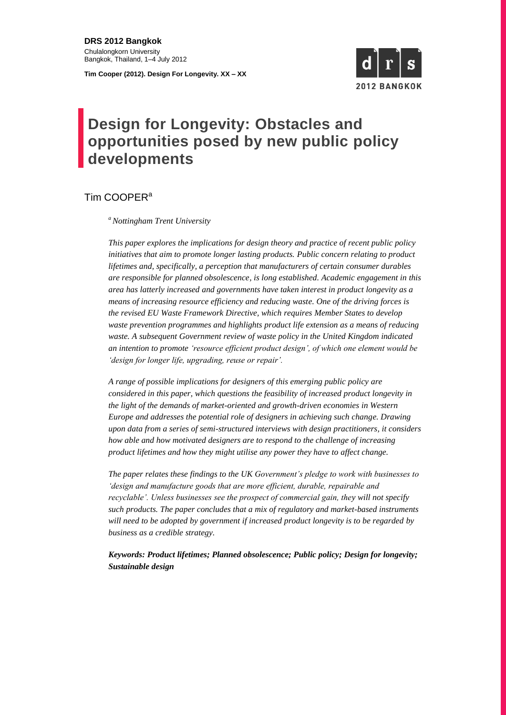**DRS 2012 Bangkok** Chulalongkorn University Bangkok, Thailand, 1–4 July 2012

**Tim Cooper (2012). Design For Longevity. XX – XX**



# **Design for Longevity: Obstacles and opportunities posed by new public policy developments**

Tim COOPER<sup>a</sup>

*<sup>a</sup>Nottingham Trent University* 

*This paper explores the implications for design theory and practice of recent public policy initiatives that aim to promote longer lasting products. Public concern relating to product lifetimes and, specifically, a perception that manufacturers of certain consumer durables are responsible for planned obsolescence, is long established. Academic engagement in this area has latterly increased and governments have taken interest in product longevity as a means of increasing resource efficiency and reducing waste. One of the driving forces is the revised EU Waste Framework Directive, which requires Member States to develop waste prevention programmes and highlights product life extension as a means of reducing waste. A subsequent Government review of waste policy in the United Kingdom indicated an intention to promote 'resource efficient product design', of which one element would be 'design for longer life, upgrading, reuse or repair'.* 

*A range of possible implications for designers of this emerging public policy are considered in this paper, which questions the feasibility of increased product longevity in the light of the demands of market-oriented and growth-driven economies in Western Europe and addresses the potential role of designers in achieving such change. Drawing upon data from a series of semi-structured interviews with design practitioners, it considers how able and how motivated designers are to respond to the challenge of increasing product lifetimes and how they might utilise any power they have to affect change.* 

*The paper relates these findings to the UK Government's pledge to work with businesses to 'design and manufacture goods that are more efficient, durable, repairable and recyclable'. Unless businesses see the prospect of commercial gain, they will not specify such products. The paper concludes that a mix of regulatory and market-based instruments will need to be adopted by government if increased product longevity is to be regarded by business as a credible strategy.* 

*Keywords: Product lifetimes; Planned obsolescence; Public policy; Design for longevity; Sustainable design*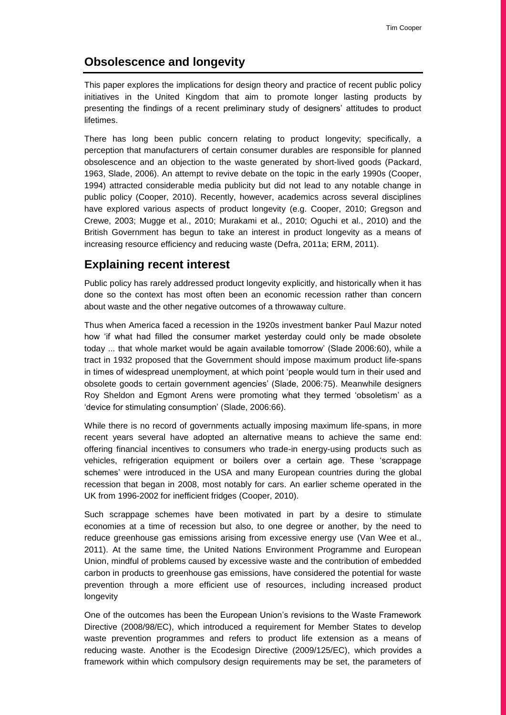# **Obsolescence and longevity**

This paper explores the implications for design theory and practice of recent public policy initiatives in the United Kingdom that aim to promote longer lasting products by presenting the findings of a recent preliminary study of designers' attitudes to product lifetimes.

There has long been public concern relating to product longevity; specifically, a perception that manufacturers of certain consumer durables are responsible for planned obsolescence and an objection to the waste generated by short-lived goods (Packard, 1963, Slade, 2006). An attempt to revive debate on the topic in the early 1990s (Cooper, 1994) attracted considerable media publicity but did not lead to any notable change in public policy (Cooper, 2010). Recently, however, academics across several disciplines have explored various aspects of product longevity (e.g. Cooper, 2010; Gregson and Crewe, 2003; Mugge et al., 2010; Murakami et al., 2010; Oguchi et al., 2010) and the British Government has begun to take an interest in product longevity as a means of increasing resource efficiency and reducing waste (Defra, 2011a; ERM, 2011).

# **Explaining recent interest**

Public policy has rarely addressed product longevity explicitly, and historically when it has done so the context has most often been an economic recession rather than concern about waste and the other negative outcomes of a throwaway culture.

Thus when America faced a recession in the 1920s investment banker Paul Mazur noted how 'if what had filled the consumer market yesterday could only be made obsolete today ... that whole market would be again available tomorrow' (Slade 2006:60), while a tract in 1932 proposed that the Government should impose maximum product life-spans in times of widespread unemployment, at which point 'people would turn in their used and obsolete goods to certain government agencies' (Slade, 2006:75). Meanwhile designers Roy Sheldon and Egmont Arens were promoting what they termed 'obsoletism' as a 'device for stimulating consumption' (Slade, 2006:66).

While there is no record of governments actually imposing maximum life-spans, in more recent years several have adopted an alternative means to achieve the same end: offering financial incentives to consumers who trade-in energy-using products such as vehicles, refrigeration equipment or boilers over a certain age. These 'scrappage schemes' were introduced in the USA and many European countries during the global recession that began in 2008, most notably for cars. An earlier scheme operated in the UK from 1996-2002 for inefficient fridges (Cooper, 2010).

Such scrappage schemes have been motivated in part by a desire to stimulate economies at a time of recession but also, to one degree or another, by the need to reduce greenhouse gas emissions arising from excessive energy use (Van Wee et al., 2011). At the same time, the United Nations Environment Programme and European Union, mindful of problems caused by excessive waste and the contribution of embedded carbon in products to greenhouse gas emissions, have considered the potential for waste prevention through a more efficient use of resources, including increased product longevity

One of the outcomes has been the European Union's revisions to the Waste Framework Directive (2008/98/EC), which introduced a requirement for Member States to develop waste prevention programmes and refers to product life extension as a means of reducing waste. Another is the Ecodesign Directive (2009/125/EC), which provides a framework within which compulsory design requirements may be set, the parameters of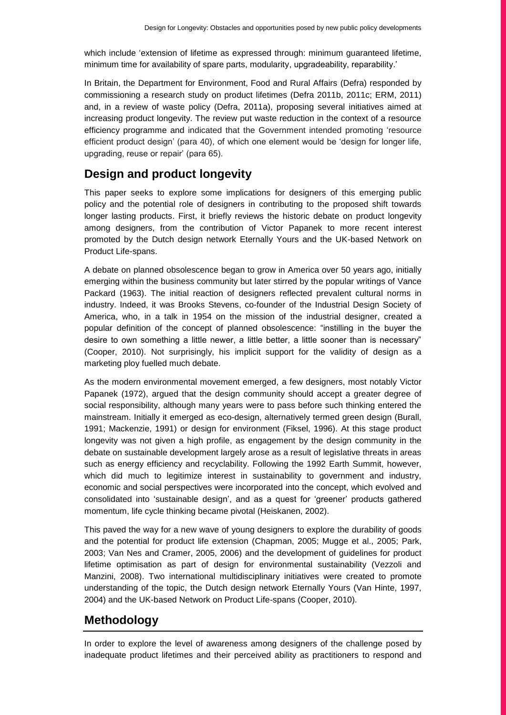which include 'extension of lifetime as expressed through: minimum guaranteed lifetime, minimum time for availability of spare parts, modularity, upgradeability, reparability.'

In Britain, the Department for Environment, Food and Rural Affairs (Defra) responded by commissioning a research study on product lifetimes (Defra 2011b, 2011c; ERM, 2011) and, in a review of waste policy (Defra, 2011a), proposing several initiatives aimed at increasing product longevity. The review put waste reduction in the context of a resource efficiency programme and indicated that the Government intended promoting 'resource efficient product design' (para 40), of which one element would be 'design for longer life, upgrading, reuse or repair' (para 65).

# **Design and product longevity**

This paper seeks to explore some implications for designers of this emerging public policy and the potential role of designers in contributing to the proposed shift towards longer lasting products. First, it briefly reviews the historic debate on product longevity among designers, from the contribution of Victor Papanek to more recent interest promoted by the Dutch design network Eternally Yours and the UK-based Network on Product Life-spans.

A debate on planned obsolescence began to grow in America over 50 years ago, initially emerging within the business community but later stirred by the popular writings of Vance Packard (1963). The initial reaction of designers reflected prevalent cultural norms in industry. Indeed, it was Brooks Stevens, co-founder of the Industrial Design Society of America, who, in a talk in 1954 on the mission of the industrial designer, created a popular definition of the concept of planned obsolescence: "instilling in the buyer the desire to own something a little newer, a little better, a little sooner than is necessary" (Cooper, 2010). Not surprisingly, his implicit support for the validity of design as a marketing ploy fuelled much debate.

As the modern environmental movement emerged, a few designers, most notably Victor Papanek (1972), argued that the design community should accept a greater degree of social responsibility, although many years were to pass before such thinking entered the mainstream. Initially it emerged as eco-design, alternatively termed green design (Burall, 1991; Mackenzie, 1991) or design for environment (Fiksel, 1996). At this stage product longevity was not given a high profile, as engagement by the design community in the debate on sustainable development largely arose as a result of legislative threats in areas such as energy efficiency and recyclability. Following the 1992 Earth Summit, however, which did much to legitimize interest in sustainability to government and industry, economic and social perspectives were incorporated into the concept, which evolved and consolidated into 'sustainable design', and as a quest for 'greener' products gathered momentum, life cycle thinking became pivotal (Heiskanen, 2002).

This paved the way for a new wave of young designers to explore the durability of goods and the potential for product life extension (Chapman, 2005; Mugge et al., 2005; Park, 2003; Van Nes and Cramer, 2005, 2006) and the development of guidelines for product lifetime optimisation as part of design for environmental sustainability (Vezzoli and Manzini, 2008). Two international multidisciplinary initiatives were created to promote understanding of the topic, the Dutch design network Eternally Yours (Van Hinte, 1997, 2004) and the UK-based Network on Product Life-spans (Cooper, 2010).

# **Methodology**

In order to explore the level of awareness among designers of the challenge posed by inadequate product lifetimes and their perceived ability as practitioners to respond and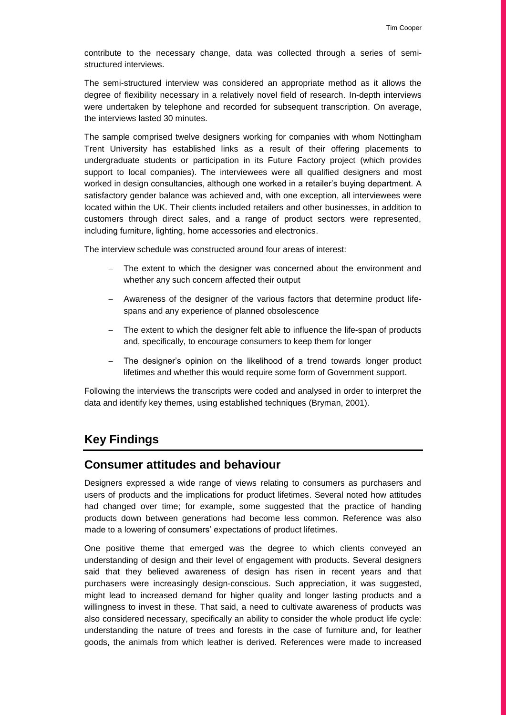contribute to the necessary change, data was collected through a series of semistructured interviews.

The semi-structured interview was considered an appropriate method as it allows the degree of flexibility necessary in a relatively novel field of research. In-depth interviews were undertaken by telephone and recorded for subsequent transcription. On average, the interviews lasted 30 minutes.

The sample comprised twelve designers working for companies with whom Nottingham Trent University has established links as a result of their offering placements to undergraduate students or participation in its Future Factory project (which provides support to local companies). The interviewees were all qualified designers and most worked in design consultancies, although one worked in a retailer's buying department. A satisfactory gender balance was achieved and, with one exception, all interviewees were located within the UK. Their clients included retailers and other businesses, in addition to customers through direct sales, and a range of product sectors were represented, including furniture, lighting, home accessories and electronics.

The interview schedule was constructed around four areas of interest:

- The extent to which the designer was concerned about the environment and whether any such concern affected their output
- Awareness of the designer of the various factors that determine product lifespans and any experience of planned obsolescence
- The extent to which the designer felt able to influence the life-span of products and, specifically, to encourage consumers to keep them for longer
- The designer's opinion on the likelihood of a trend towards longer product lifetimes and whether this would require some form of Government support.

Following the interviews the transcripts were coded and analysed in order to interpret the data and identify key themes, using established techniques (Bryman, 2001).

# **Key Findings**

#### **Consumer attitudes and behaviour**

Designers expressed a wide range of views relating to consumers as purchasers and users of products and the implications for product lifetimes. Several noted how attitudes had changed over time; for example, some suggested that the practice of handing products down between generations had become less common. Reference was also made to a lowering of consumers' expectations of product lifetimes.

One positive theme that emerged was the degree to which clients conveyed an understanding of design and their level of engagement with products. Several designers said that they believed awareness of design has risen in recent years and that purchasers were increasingly design-conscious. Such appreciation, it was suggested, might lead to increased demand for higher quality and longer lasting products and a willingness to invest in these. That said, a need to cultivate awareness of products was also considered necessary, specifically an ability to consider the whole product life cycle: understanding the nature of trees and forests in the case of furniture and, for leather goods, the animals from which leather is derived. References were made to increased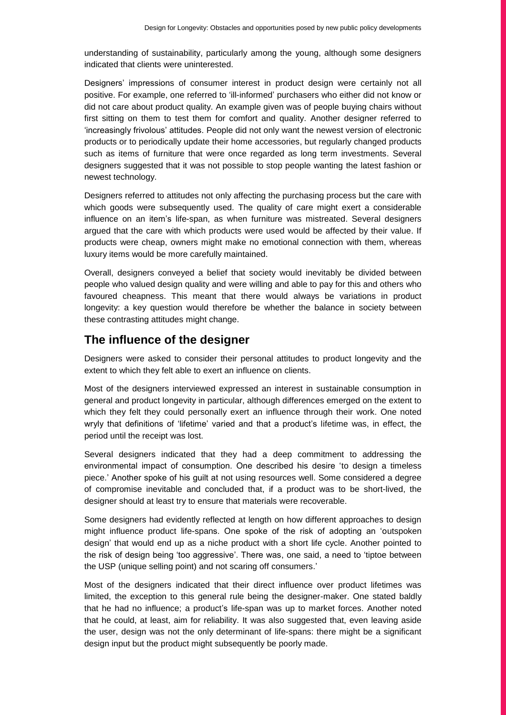understanding of sustainability, particularly among the young, although some designers indicated that clients were uninterested.

Designers' impressions of consumer interest in product design were certainly not all positive. For example, one referred to 'ill-informed' purchasers who either did not know or did not care about product quality. An example given was of people buying chairs without first sitting on them to test them for comfort and quality. Another designer referred to 'increasingly frivolous' attitudes. People did not only want the newest version of electronic products or to periodically update their home accessories, but regularly changed products such as items of furniture that were once regarded as long term investments. Several designers suggested that it was not possible to stop people wanting the latest fashion or newest technology.

Designers referred to attitudes not only affecting the purchasing process but the care with which goods were subsequently used. The quality of care might exert a considerable influence on an item's life-span, as when furniture was mistreated. Several designers argued that the care with which products were used would be affected by their value. If products were cheap, owners might make no emotional connection with them, whereas luxury items would be more carefully maintained.

Overall, designers conveyed a belief that society would inevitably be divided between people who valued design quality and were willing and able to pay for this and others who favoured cheapness. This meant that there would always be variations in product longevity: a key question would therefore be whether the balance in society between these contrasting attitudes might change.

#### **The influence of the designer**

Designers were asked to consider their personal attitudes to product longevity and the extent to which they felt able to exert an influence on clients.

Most of the designers interviewed expressed an interest in sustainable consumption in general and product longevity in particular, although differences emerged on the extent to which they felt they could personally exert an influence through their work. One noted wryly that definitions of 'lifetime' varied and that a product's lifetime was, in effect, the period until the receipt was lost.

Several designers indicated that they had a deep commitment to addressing the environmental impact of consumption. One described his desire 'to design a timeless piece.' Another spoke of his guilt at not using resources well. Some considered a degree of compromise inevitable and concluded that, if a product was to be short-lived, the designer should at least try to ensure that materials were recoverable.

Some designers had evidently reflected at length on how different approaches to design might influence product life-spans. One spoke of the risk of adopting an 'outspoken design' that would end up as a niche product with a short life cycle. Another pointed to the risk of design being 'too aggressive'. There was, one said, a need to 'tiptoe between the USP (unique selling point) and not scaring off consumers.'

Most of the designers indicated that their direct influence over product lifetimes was limited, the exception to this general rule being the designer-maker. One stated baldly that he had no influence; a product's life-span was up to market forces. Another noted that he could, at least, aim for reliability. It was also suggested that, even leaving aside the user, design was not the only determinant of life-spans: there might be a significant design input but the product might subsequently be poorly made.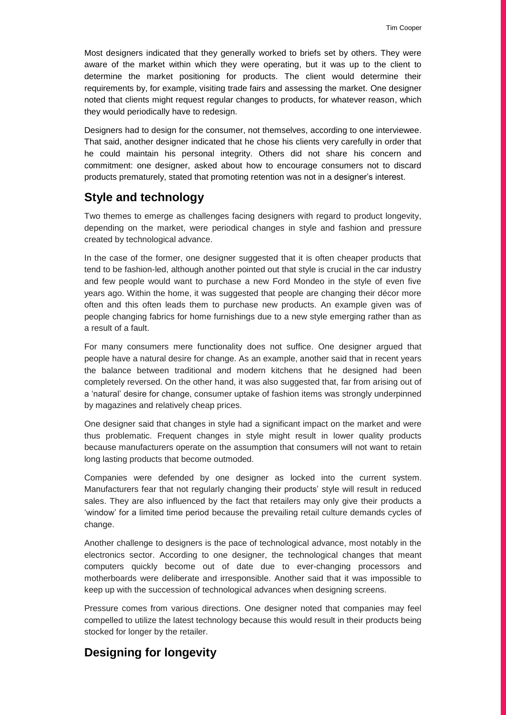Most designers indicated that they generally worked to briefs set by others. They were aware of the market within which they were operating, but it was up to the client to determine the market positioning for products. The client would determine their requirements by, for example, visiting trade fairs and assessing the market. One designer noted that clients might request regular changes to products, for whatever reason, which they would periodically have to redesign.

Designers had to design for the consumer, not themselves, according to one interviewee. That said, another designer indicated that he chose his clients very carefully in order that he could maintain his personal integrity. Others did not share his concern and commitment: one designer, asked about how to encourage consumers not to discard products prematurely, stated that promoting retention was not in a designer's interest.

# **Style and technology**

Two themes to emerge as challenges facing designers with regard to product longevity, depending on the market, were periodical changes in style and fashion and pressure created by technological advance.

In the case of the former, one designer suggested that it is often cheaper products that tend to be fashion-led, although another pointed out that style is crucial in the car industry and few people would want to purchase a new Ford Mondeo in the style of even five years ago. Within the home, it was suggested that people are changing their décor more often and this often leads them to purchase new products. An example given was of people changing fabrics for home furnishings due to a new style emerging rather than as a result of a fault.

For many consumers mere functionality does not suffice. One designer argued that people have a natural desire for change. As an example, another said that in recent years the balance between traditional and modern kitchens that he designed had been completely reversed. On the other hand, it was also suggested that, far from arising out of a 'natural' desire for change, consumer uptake of fashion items was strongly underpinned by magazines and relatively cheap prices.

One designer said that changes in style had a significant impact on the market and were thus problematic. Frequent changes in style might result in lower quality products because manufacturers operate on the assumption that consumers will not want to retain long lasting products that become outmoded.

Companies were defended by one designer as locked into the current system. Manufacturers fear that not regularly changing their products' style will result in reduced sales. They are also influenced by the fact that retailers may only give their products a 'window' for a limited time period because the prevailing retail culture demands cycles of change.

Another challenge to designers is the pace of technological advance, most notably in the electronics sector. According to one designer, the technological changes that meant computers quickly become out of date due to ever-changing processors and motherboards were deliberate and irresponsible. Another said that it was impossible to keep up with the succession of technological advances when designing screens.

Pressure comes from various directions. One designer noted that companies may feel compelled to utilize the latest technology because this would result in their products being stocked for longer by the retailer.

# **Designing for longevity**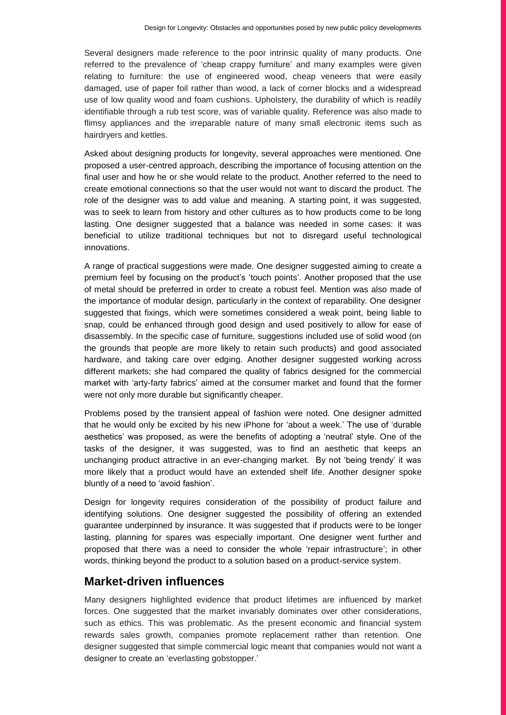Several designers made reference to the poor intrinsic quality of many products. One referred to the prevalence of 'cheap crappy furniture' and many examples were given relating to furniture: the use of engineered wood, cheap veneers that were easily damaged, use of paper foil rather than wood, a lack of corner blocks and a widespread use of low quality wood and foam cushions. Upholstery, the durability of which is readily identifiable through a rub test score, was of variable quality. Reference was also made to flimsy appliances and the irreparable nature of many small electronic items such as hairdryers and kettles.

Asked about designing products for longevity, several approaches were mentioned. One proposed a user-centred approach, describing the importance of focusing attention on the final user and how he or she would relate to the product. Another referred to the need to create emotional connections so that the user would not want to discard the product. The role of the designer was to add value and meaning. A starting point, it was suggested, was to seek to learn from history and other cultures as to how products come to be long lasting. One designer suggested that a balance was needed in some cases: it was beneficial to utilize traditional techniques but not to disregard useful technological innovations.

A range of practical suggestions were made. One designer suggested aiming to create a premium feel by focusing on the product's 'touch points'. Another proposed that the use of metal should be preferred in order to create a robust feel. Mention was also made of the importance of modular design, particularly in the context of reparability. One designer suggested that fixings, which were sometimes considered a weak point, being liable to snap, could be enhanced through good design and used positively to allow for ease of disassembly. In the specific case of furniture, suggestions included use of solid wood (on the grounds that people are more likely to retain such products) and good associated hardware, and taking care over edging. Another designer suggested working across different markets; she had compared the quality of fabrics designed for the commercial market with 'arty-farty fabrics' aimed at the consumer market and found that the former were not only more durable but significantly cheaper.

Problems posed by the transient appeal of fashion were noted. One designer admitted that he would only be excited by his new iPhone for 'about a week.' The use of 'durable aesthetics' was proposed, as were the benefits of adopting a 'neutral' style. One of the tasks of the designer, it was suggested, was to find an aesthetic that keeps an unchanging product attractive in an ever-changing market. By not 'being trendy' it was more likely that a product would have an extended shelf life. Another designer spoke bluntly of a need to 'avoid fashion'.

Design for longevity requires consideration of the possibility of product failure and identifying solutions. One designer suggested the possibility of offering an extended guarantee underpinned by insurance. It was suggested that if products were to be longer lasting, planning for spares was especially important. One designer went further and proposed that there was a need to consider the whole 'repair infrastructure'; in other words, thinking beyond the product to a solution based on a product-service system.

#### **Market-driven influences**

Many designers highlighted evidence that product lifetimes are influenced by market forces. One suggested that the market invariably dominates over other considerations, such as ethics. This was problematic. As the present economic and financial system rewards sales growth, companies promote replacement rather than retention. One designer suggested that simple commercial logic meant that companies would not want a designer to create an 'everlasting gobstopper.'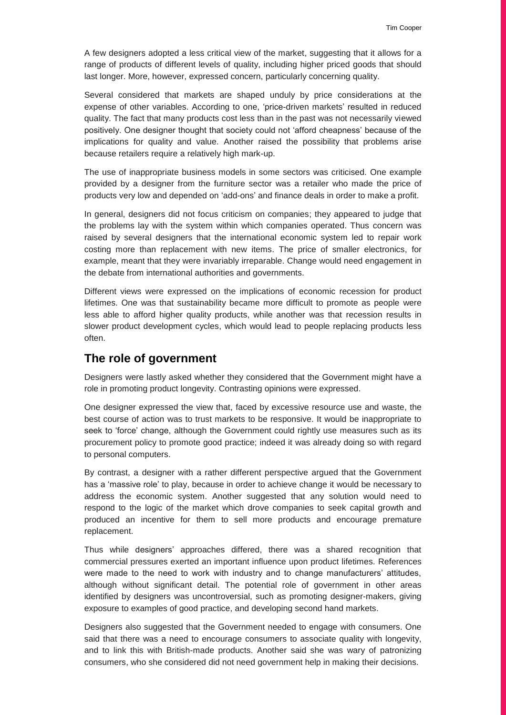A few designers adopted a less critical view of the market, suggesting that it allows for a range of products of different levels of quality, including higher priced goods that should last longer. More, however, expressed concern, particularly concerning quality.

Several considered that markets are shaped unduly by price considerations at the expense of other variables. According to one, 'price-driven markets' resulted in reduced quality. The fact that many products cost less than in the past was not necessarily viewed positively. One designer thought that society could not 'afford cheapness' because of the implications for quality and value. Another raised the possibility that problems arise because retailers require a relatively high mark-up.

The use of inappropriate business models in some sectors was criticised. One example provided by a designer from the furniture sector was a retailer who made the price of products very low and depended on 'add-ons' and finance deals in order to make a profit.

In general, designers did not focus criticism on companies; they appeared to judge that the problems lay with the system within which companies operated. Thus concern was raised by several designers that the international economic system led to repair work costing more than replacement with new items. The price of smaller electronics, for example, meant that they were invariably irreparable. Change would need engagement in the debate from international authorities and governments.

Different views were expressed on the implications of economic recession for product lifetimes. One was that sustainability became more difficult to promote as people were less able to afford higher quality products, while another was that recession results in slower product development cycles, which would lead to people replacing products less often.

#### **The role of government**

Designers were lastly asked whether they considered that the Government might have a role in promoting product longevity. Contrasting opinions were expressed.

One designer expressed the view that, faced by excessive resource use and waste, the best course of action was to trust markets to be responsive. It would be inappropriate to seek to 'force' change, although the Government could rightly use measures such as its procurement policy to promote good practice; indeed it was already doing so with regard to personal computers.

By contrast, a designer with a rather different perspective argued that the Government has a 'massive role' to play, because in order to achieve change it would be necessary to address the economic system. Another suggested that any solution would need to respond to the logic of the market which drove companies to seek capital growth and produced an incentive for them to sell more products and encourage premature replacement.

Thus while designers' approaches differed, there was a shared recognition that commercial pressures exerted an important influence upon product lifetimes. References were made to the need to work with industry and to change manufacturers' attitudes, although without significant detail. The potential role of government in other areas identified by designers was uncontroversial, such as promoting designer-makers, giving exposure to examples of good practice, and developing second hand markets.

Designers also suggested that the Government needed to engage with consumers. One said that there was a need to encourage consumers to associate quality with longevity, and to link this with British-made products. Another said she was wary of patronizing consumers, who she considered did not need government help in making their decisions.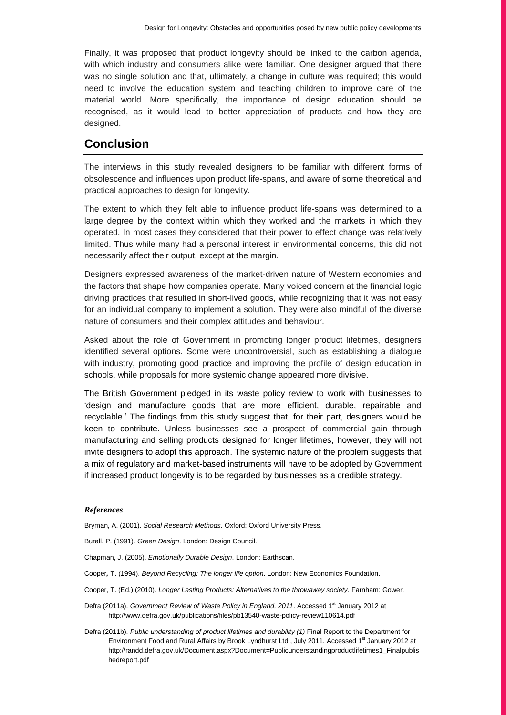Finally, it was proposed that product longevity should be linked to the carbon agenda, with which industry and consumers alike were familiar. One designer argued that there was no single solution and that, ultimately, a change in culture was required; this would need to involve the education system and teaching children to improve care of the material world. More specifically, the importance of design education should be recognised, as it would lead to better appreciation of products and how they are designed.

### **Conclusion**

The interviews in this study revealed designers to be familiar with different forms of obsolescence and influences upon product life-spans, and aware of some theoretical and practical approaches to design for longevity.

The extent to which they felt able to influence product life-spans was determined to a large degree by the context within which they worked and the markets in which they operated. In most cases they considered that their power to effect change was relatively limited. Thus while many had a personal interest in environmental concerns, this did not necessarily affect their output, except at the margin.

Designers expressed awareness of the market-driven nature of Western economies and the factors that shape how companies operate. Many voiced concern at the financial logic driving practices that resulted in short-lived goods, while recognizing that it was not easy for an individual company to implement a solution. They were also mindful of the diverse nature of consumers and their complex attitudes and behaviour.

Asked about the role of Government in promoting longer product lifetimes, designers identified several options. Some were uncontroversial, such as establishing a dialogue with industry, promoting good practice and improving the profile of design education in schools, while proposals for more systemic change appeared more divisive.

The British Government pledged in its waste policy review to work with businesses to 'design and manufacture goods that are more efficient, durable, repairable and recyclable.' The findings from this study suggest that, for their part, designers would be keen to contribute. Unless businesses see a prospect of commercial gain through manufacturing and selling products designed for longer lifetimes, however, they will not invite designers to adopt this approach. The systemic nature of the problem suggests that a mix of regulatory and market-based instruments will have to be adopted by Government if increased product longevity is to be regarded by businesses as a credible strategy.

#### *References*

Bryman, A. (2001). *Social Research Methods*. Oxford: Oxford University Press.

Burall, P. (1991). *Green Design*. London: Design Council.

Chapman, J. (2005). *Emotionally Durable Design*. London: Earthscan.

- Cooper*,* T. (1994). *Beyond Recycling: The longer life option*. London: New Economics Foundation.
- Cooper, T. (Ed.) (2010). *Longer Lasting Products: Alternatives to the throwaway society.* Farnham: Gower.
- Defra (2011a). Government Review of Waste Policy in England, 2011. Accessed 1<sup>st</sup> January 2012 at http://www.defra.gov.uk/publications/files/pb13540-waste-policy-review110614.pdf
- Defra (2011b). *Public understanding of product lifetimes and durability (1)* Final Report to the Department for Environment Food and Rural Affairs by Brook Lyndhurst Ltd., July 2011. Accessed 1<sup>st</sup> January 2012 at http://randd.defra.gov.uk/Document.aspx?Document=Publicunderstandingproductlifetimes1\_Finalpublis hedreport.pdf